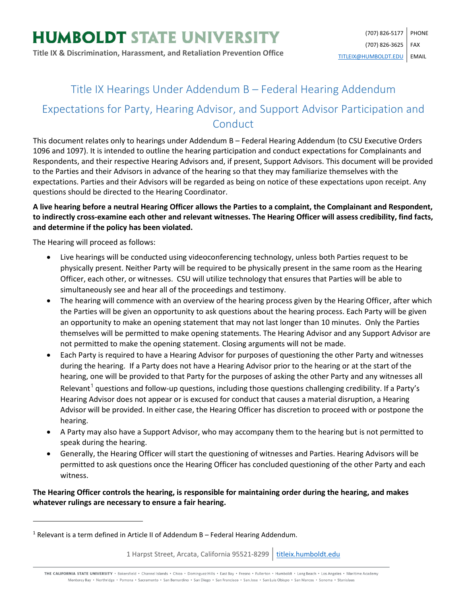# Title IX Hearings Under Addendum B – Federal Hearing Addendum

# Expectations for Party, Hearing Advisor, and Support Advisor Participation and **Conduct**

This document relates only to hearings under Addendum B – Federal Hearing Addendum (to CSU Executive Orders 1096 and 1097). It is intended to outline the hearing participation and conduct expectations for Complainants and Respondents, and their respective Hearing Advisors and, if present, Support Advisors. This document will be provided to the Parties and their Advisors in advance of the hearing so that they may familiarize themselves with the expectations. Parties and their Advisors will be regarded as being on notice of these expectations upon receipt. Any questions should be directed to the Hearing Coordinator.

### **A live hearing before a neutral Hearing Officer allows the Parties to a complaint, the Complainant and Respondent, to indirectly cross-examine each other and relevant witnesses. The Hearing Officer will assess credibility, find facts, and determine if the policy has been violated.**

The Hearing will proceed as follows:

 $\overline{a}$ 

- Live hearings will be conducted using videoconferencing technology, unless both Parties request to be physically present. Neither Party will be required to be physically present in the same room as the Hearing Officer, each other, or witnesses. CSU will utilize technology that ensures that Parties will be able to simultaneously see and hear all of the proceedings and testimony.
- The hearing will commence with an overview of the hearing process given by the Hearing Officer, after which the Parties will be given an opportunity to ask questions about the hearing process. Each Party will be given an opportunity to make an opening statement that may not last longer than 10 minutes. Only the Parties themselves will be permitted to make opening statements. The Hearing Advisor and any Support Advisor are not permitted to make the opening statement. Closing arguments will not be made.
- Each Party is required to have a Hearing Advisor for purposes of questioning the other Party and witnesses during the hearing. If a Party does not have a Hearing Advisor prior to the hearing or at the start of the hearing, one will be provided to that Party for the purposes of asking the other Party and any witnesses all Relevant<sup>[1](#page-0-0)</sup> questions and follow-up questions, including those questions challenging credibility. If a Party's Hearing Advisor does not appear or is excused for conduct that causes a material disruption, a Hearing Advisor will be provided. In either case, the Hearing Officer has discretion to proceed with or postpone the hearing.
- A Party may also have a Support Advisor, who may accompany them to the hearing but is not permitted to speak during the hearing.
- Generally, the Hearing Officer will start the questioning of witnesses and Parties. Hearing Advisors will be permitted to ask questions once the Hearing Officer has concluded questioning of the other Party and each witness.

# **The Hearing Officer controls the hearing, is responsible for maintaining order during the hearing, and makes whatever rulings are necessary to ensure a fair hearing.**

1 Harpst Street, Arcata, California 95521-8299 | [titleix.humboldt.edu](https://titleix.humboldt.edu/)

THE CALIFORNIA STATE UNIVERSITY · Bakersfield · Channel Islands · Chico · Dominguez Hills · East Bay · Fresno · Fullerton · Humboldt · Long Beach · Los Angeles · Maritime Academy Monterey Bay . Northridge . Pomona . Sacramento . San Bernardino . San Diego . San Francisco . San Jose . San Luis Obispo . San Marcos . Sonoma . Stanislaus

<span id="page-0-0"></span> $1$  Relevant is a term defined in Article II of Addendum B – Federal Hearing Addendum.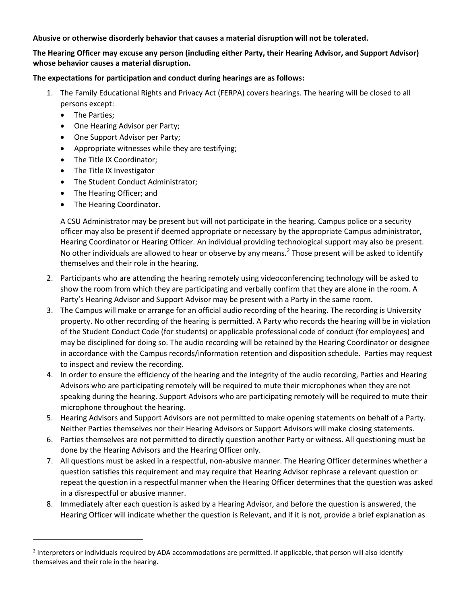#### **Abusive or otherwise disorderly behavior that causes a material disruption will not be tolerated.**

## **The Hearing Officer may excuse any person (including either Party, their Hearing Advisor, and Support Advisor) whose behavior causes a material disruption.**

#### **The expectations for participation and conduct during hearings are as follows:**

- 1. The Family Educational Rights and Privacy Act (FERPA) covers hearings. The hearing will be closed to all persons except:
	- The Parties;

 $\overline{\phantom{a}}$ 

- One Hearing Advisor per Party;
- One Support Advisor per Party;
- Appropriate witnesses while they are testifying;
- The Title IX Coordinator;
- The Title IX Investigator
- The Student Conduct Administrator;
- The Hearing Officer; and
- The Hearing Coordinator.

A CSU Administrator may be present but will not participate in the hearing. Campus police or a security officer may also be present if deemed appropriate or necessary by the appropriate Campus administrator, Hearing Coordinator or Hearing Officer. An individual providing technological support may also be present. No other individuals are allowed to hear or observe by any means.<sup>[2](#page-1-0)</sup> Those present will be asked to identify themselves and their role in the hearing.

- 2. Participants who are attending the hearing remotely using videoconferencing technology will be asked to show the room from which they are participating and verbally confirm that they are alone in the room. A Party's Hearing Advisor and Support Advisor may be present with a Party in the same room.
- 3. The Campus will make or arrange for an official audio recording of the hearing. The recording is University property. No other recording of the hearing is permitted. A Party who records the hearing will be in violation of the Student Conduct Code (for students) or applicable professional code of conduct (for employees) and may be disciplined for doing so. The audio recording will be retained by the Hearing Coordinator or designee in accordance with the Campus records/information retention and disposition schedule. Parties may request to inspect and review the recording.
- 4. In order to ensure the efficiency of the hearing and the integrity of the audio recording, Parties and Hearing Advisors who are participating remotely will be required to mute their microphones when they are not speaking during the hearing. Support Advisors who are participating remotely will be required to mute their microphone throughout the hearing.
- 5. Hearing Advisors and Support Advisors are not permitted to make opening statements on behalf of a Party. Neither Parties themselves nor their Hearing Advisors or Support Advisors will make closing statements.
- 6. Parties themselves are not permitted to directly question another Party or witness. All questioning must be done by the Hearing Advisors and the Hearing Officer only.
- 7. All questions must be asked in a respectful, non-abusive manner. The Hearing Officer determines whether a question satisfies this requirement and may require that Hearing Advisor rephrase a relevant question or repeat the question in a respectful manner when the Hearing Officer determines that the question was asked in a disrespectful or abusive manner.
- 8. Immediately after each question is asked by a Hearing Advisor, and before the question is answered, the Hearing Officer will indicate whether the question is Relevant, and if it is not, provide a brief explanation as

<span id="page-1-0"></span><sup>&</sup>lt;sup>2</sup> Interpreters or individuals required by ADA accommodations are permitted. If applicable, that person will also identify themselves and their role in the hearing.